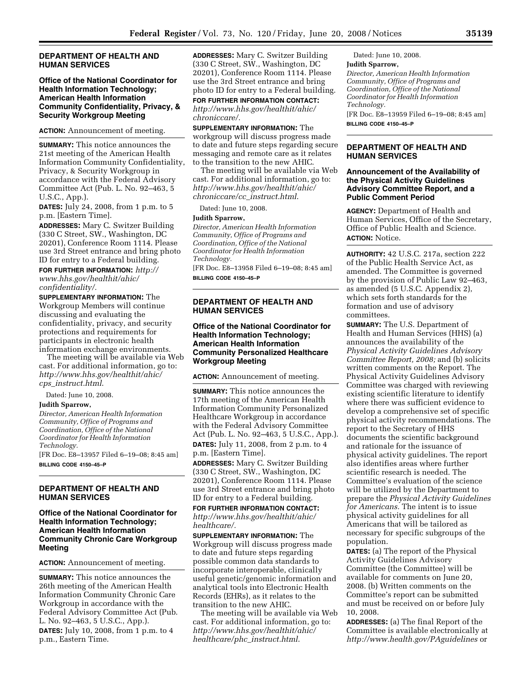#### **DEPARTMENT OF HEALTH AND HUMAN SERVICES**

## **Office of the National Coordinator for Health Information Technology; American Health Information Community Confidentiality, Privacy, & Security Workgroup Meeting**

**ACTION:** Announcement of meeting.

**SUMMARY:** This notice announces the 21st meeting of the American Health Information Community Confidentiality, Privacy, & Security Workgroup in accordance with the Federal Advisory Committee Act (Pub. L. No. 92–463, 5 U.S.C., App.).

**DATES:** July 24, 2008, from 1 p.m. to 5 p.m. [Eastern Time].

**ADDRESSES:** Mary C. Switzer Building (330 C Street, SW., Washington, DC 20201), Conference Room 1114. Please use 3rd Street entrance and bring photo ID for entry to a Federal building.

**FOR FURTHER INFORMATION:** *http://* 

*www.hhs.gov/healthit/ahic/ confidentiality/.* 

**SUPPLEMENTARY INFORMATION:** The Workgroup Members will continue discussing and evaluating the confidentiality, privacy, and security protections and requirements for participants in electronic health information exchange environments.

The meeting will be available via Web cast. For additional information, go to: *http://www.hhs.gov/healthit/ahic/ cps*\_*instruct.html*.

Dated: June 10, 2008.

#### **Judith Sparrow,**

*Director, American Health Information Community, Office of Programs and Coordination, Office of the National Coordinator for Health Information Technology.* 

[FR Doc. E8–13957 Filed 6–19–08; 8:45 am] **BILLING CODE 4150–45–P** 

# **DEPARTMENT OF HEALTH AND HUMAN SERVICES**

### **Office of the National Coordinator for Health Information Technology; American Health Information Community Chronic Care Workgroup Meeting**

**ACTION:** Announcement of meeting.

**SUMMARY:** This notice announces the 26th meeting of the American Health Information Community Chronic Care Workgroup in accordance with the Federal Advisory Committee Act (Pub. L. No. 92–463, 5 U.S.C., App.). **DATES:** July 10, 2008, from 1 p.m. to 4 p.m., Eastern Time.

**ADDRESSES:** Mary C. Switzer Building (330 C Street, SW., Washington, DC 20201), Conference Room 1114. Please use the 3rd Street entrance and bring photo ID for entry to a Federal building. **FOR FURTHER INFORMATION CONTACT:** 

*http://www.hhs.gov/healthit/ahic/ chroniccare/.* 

**SUPPLEMENTARY INFORMATION:** The workgroup will discuss progress made to date and future steps regarding secure messaging and remote care as it relates to the transition to the new AHIC.

The meeting will be available via Web cast. For additional information, go to: *http://www.hhs.gov/healthit/ahic/ chroniccare/cc*\_*instruct.html*.

Dated: June 10, 2008.

### **Judith Sparrow,**

*Director, American Health Information Community, Office of Programs and Coordination, Office of the National Coordinator for Health Information Technology.* 

[FR Doc. E8–13958 Filed 6–19–08; 8:45 am] **BILLING CODE 4150–45–P** 

## **DEPARTMENT OF HEALTH AND HUMAN SERVICES**

# **Office of the National Coordinator for Health Information Technology; American Health Information Community Personalized Healthcare Workgroup Meeting**

**ACTION:** Announcement of meeting.

**SUMMARY:** This notice announces the 17th meeting of the American Health Information Community Personalized Healthcare Workgroup in accordance with the Federal Advisory Committee Act (Pub. L. No. 92–463, 5 U.S.C., App.). **DATES:** July 11, 2008, from 2 p.m. to 4 p.m. [Eastern Time].

**ADDRESSES:** Mary C. Switzer Building (330 C Street, SW., Washington, DC 20201), Conference Room 1114. Please use 3rd Street entrance and bring photo ID for entry to a Federal building.

**FOR FURTHER INFORMATION CONTACT:**  *http://www.hhs.gov/healthit/ahic/ healthcare/.* 

**SUPPLEMENTARY INFORMATION:** The Workgroup will discuss progress made to date and future steps regarding possible common data standards to incorporate interoperable, clinically useful genetic/genomic information and analytical tools into Electronic Health Records (EHRs), as it relates to the transition to the new AHIC.

The meeting will be available via Web cast. For additional information, go to: *http://www.hhs.gov/healthit/ahic/ healthcare/phc*\_*instruct.html*.

Dated: June 10, 2008. **Judith Sparrow,** 

*Director, American Health Information Community, Office of Programs and Coordination, Office of the National Coordinator for Health Information Technology.*  [FR Doc. E8–13959 Filed 6–19–08; 8:45 am]

**BILLING CODE 4150–45–P** 

# **DEPARTMENT OF HEALTH AND HUMAN SERVICES**

### **Announcement of the Availability of the Physical Activity Guidelines Advisory Committee Report, and a Public Comment Period**

**AGENCY:** Department of Health and Human Services, Office of the Secretary, Office of Public Health and Science. **ACTION:** Notice.

**AUTHORITY:** 42 U.S.C. 217a, section 222 of the Public Health Service Act, as amended. The Committee is governed by the provision of Public Law 92–463, as amended (5 U.S.C. Appendix 2), which sets forth standards for the formation and use of advisory committees.

**SUMMARY:** The U.S. Department of Health and Human Services (HHS) (a) announces the availability of the *Physical Activity Guidelines Advisory Committee Report, 2008;* and (b) solicits written comments on the Report. The Physical Activity Guidelines Advisory Committee was charged with reviewing existing scientific literature to identify where there was sufficient evidence to develop a comprehensive set of specific physical activity recommendations. The report to the Secretary of HHS documents the scientific background and rationale for the issuance of physical activity guidelines. The report also identifies areas where further scientific research is needed. The Committee's evaluation of the science will be utilized by the Department to prepare the *Physical Activity Guidelines for Americans.* The intent is to issue physical activity guidelines for all Americans that will be tailored as necessary for specific subgroups of the population.

**DATES:** (a) The report of the Physical Activity Guidelines Advisory Committee (the Committee) will be available for comments on June 20, 2008. (b) Written comments on the Committee's report can be submitted and must be received on or before July 10, 2008.

**ADDRESSES:** (a) The final Report of the Committee is available electronically at *http://www.health.gov/PAguidelines* or